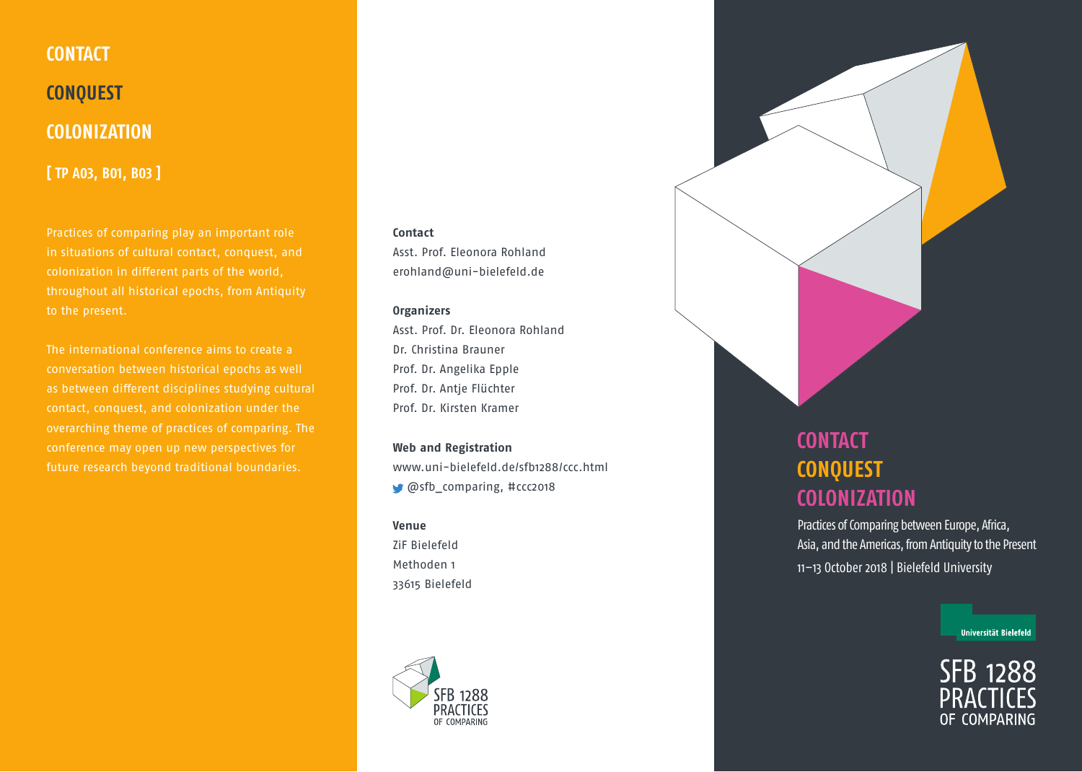

Practices of comparing play an important role in situations of cultural contact, conquest, and throughout all historical epochs, from Antiquity

The international conference aims to create a conversation between historical epochs as well as between different disciplines studying cultural overarching theme of practices of comparing. The future research beyond traditional boundaries.

## **Contact**

Asst. Prof. Eleonora Rohland erohland@uni-bielefeld.de

## **Organizers**

Asst. Prof. Dr. Eleonora Rohland Dr. Christina Brauner Prof. Dr. Angelika Epple Prof. Dr. Antje Flüchter Prof. Dr. Kirsten Kramer

**Web and Registration** www.uni-bielefeld.de/sfb1288/ccc.html @sfb\_comparing, #ccc2018

## **Venue**

ZiF Bielefeld Methoden 1 33615 Bielefeld



## **CONTACT CONQUEST COLONIZATION**

Practices of Comparing between Europe, Africa, Asia, and the Americas, from Antiquity to the Present 11–13 October 2018 | Bielefeld University